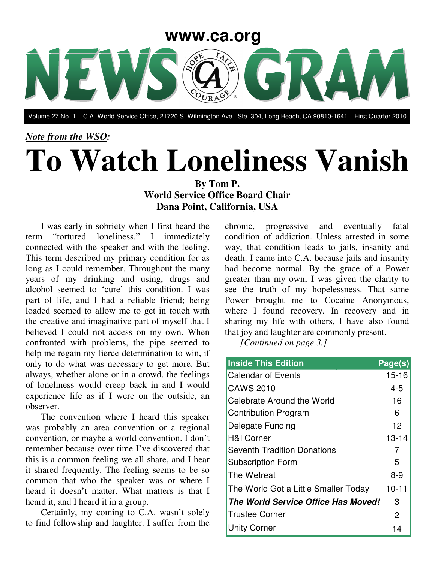

Volume 27 No. 1 C.A. World Service Office, 21720 S. Wilmington Ave., Ste. 304, Long Beach, CA 90810-1641 First Quarter 2010

## *Note from the WSO:* **To Watch Loneliness Vanish By Tom P.**

## **World Service Office Board Chair Dana Point, California, USA**

I was early in sobriety when I first heard the term "tortured loneliness." I immediately connected with the speaker and with the feeling. This term described my primary condition for as long as I could remember. Throughout the many years of my drinking and using, drugs and alcohol seemed to 'cure' this condition. I was part of life, and I had a reliable friend; being loaded seemed to allow me to get in touch with the creative and imaginative part of myself that I believed I could not access on my own. When confronted with problems, the pipe seemed to help me regain my fierce determination to win, if only to do what was necessary to get more. But always, whether alone or in a crowd, the feelings of loneliness would creep back in and I would experience life as if I were on the outside, an observer.

The convention where I heard this speaker was probably an area convention or a regional convention, or maybe a world convention. I don't remember because over time I've discovered that this is a common feeling we all share, and I hear it shared frequently. The feeling seems to be so common that who the speaker was or where I heard it doesn't matter. What matters is that I heard it, and I heard it in a group.

Certainly, my coming to C.A. wasn't solely to find fellowship and laughter. I suffer from the chronic, progressive and eventually fatal condition of addiction. Unless arrested in some way, that condition leads to jails, insanity and death. I came into C.A. because jails and insanity had become normal. By the grace of a Power greater than my own, I was given the clarity to see the truth of my hopelessness. That same Power brought me to Cocaine Anonymous, where I found recovery. In recovery and in sharing my life with others, I have also found that joy and laughter are commonly present.

*[Continued on page 3.]*

| <b>Inside This Edition</b>           | Page(s)           |
|--------------------------------------|-------------------|
| <b>Calendar of Events</b>            | $15 - 16$         |
| <b>CAWS 2010</b>                     | $4 - 5$           |
| Celebrate Around the World           | 16                |
| <b>Contribution Program</b>          | 6                 |
| Delegate Funding                     | $12 \overline{ }$ |
| <b>H&amp;I Corner</b>                | $13 - 14$         |
| <b>Seventh Tradition Donations</b>   | 7                 |
| <b>Subscription Form</b>             | 5                 |
| The Wetreat                          | $8 - 9$           |
| The World Got a Little Smaller Today | $10 - 11$         |
| The World Service Office Has Moved!  | 3                 |
| <b>Trustee Corner</b>                | 2                 |
| Unity Corner                         | 14                |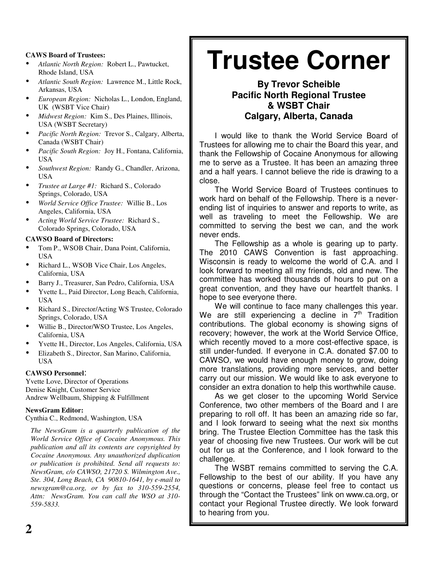#### **CAWS Board of Trustees:**

- *Atlantic North Region:* Robert L., Pawtucket, Rhode Island, USA
- *Atlantic South Region:* Lawrence M., Little Rock, Arkansas, USA
- *European Region:* Nicholas L., London, England, UK (WSBT Vice Chair)
- *Midwest Region:* Kim S., Des Plaines, Illinois, USA (WSBT Secretary)
- *Pacific North Region:* Trevor S., Calgary, Alberta, Canada (WSBT Chair)
- *Pacific South Region:* Joy H., Fontana, California, USA
- *Southwest Region:* Randy G., Chandler, Arizona, USA
- *Trustee at Large #1:* Richard S., Colorado Springs, Colorado, USA
- *World Service Office Trustee:* Willie B., Los Angeles, California, USA
- *Acting World Service Trustee:* Richard S., Colorado Springs, Colorado, USA

#### **CAWSO Board of Directors:**

- Tom P., WSOB Chair, Dana Point, California, USA
- Richard L., WSOB Vice Chair, Los Angeles, California, USA
- Barry J., Treasurer, San Pedro, California, USA
- Yvette L., Paid Director, Long Beach, California, USA
- Richard S., Director/Acting WS Trustee, Colorado Springs, Colorado, USA
- Willie B., Director/WSO Trustee, Los Angeles, California, USA
- Yvette H., Director, Los Angeles, California, USA
- Elizabeth S., Director, San Marino, California, USA

#### **CAWSO Personnel**:

Yvette Love, Director of Operations Denise Knight, Customer Service Andrew Wellbaum, Shipping & Fulfillment

#### **NewsGram Editor:**

Cynthia C., Redmond, Washington, USA

*The NewsGram is a quarterly publication of the World Service Office of Cocaine Anonymous. This publication and all its contents are copyrighted by Cocaine Anonymous. Any unauthorized duplication or publication is prohibited. Send all requests to: NewsGram, c/o CAWSO, 21720 S. Wilmington Ave., Ste. 304, Long Beach, CA 90810-1641, by e-mail to newsgram@ca.org, or by fax to 310-559-2554, Attn: NewsGram. You can call the WSO at 310- 559-5833.*

## **Trustee Corner**

#### **By Trevor Scheible Pacific North Regional Trustee & WSBT Chair Calgary, Alberta, Canada**

I would like to thank the World Service Board of Trustees for allowing me to chair the Board this year, and thank the Fellowship of Cocaine Anonymous for allowing me to serve as a Trustee. It has been an amazing three and a half years. I cannot believe the ride is drawing to a close.

The World Service Board of Trustees continues to work hard on behalf of the Fellowship. There is a neverending list of inquiries to answer and reports to write, as well as traveling to meet the Fellowship. We are committed to serving the best we can, and the work never ends.

The Fellowship as a whole is gearing up to party. The 2010 CAWS Convention is fast approaching. Wisconsin is ready to welcome the world of C.A. and I look forward to meeting all my friends, old and new. The committee has worked thousands of hours to put on a great convention, and they have our heartfelt thanks. I hope to see everyone there.

We will continue to face many challenges this year. We are still experiencing a decline in  $7<sup>th</sup>$  Tradition contributions. The global economy is showing signs of recovery; however, the work at the World Service Office, which recently moved to a more cost-effective space, is still under-funded. If everyone in C.A. donated \$7.00 to CAWSO, we would have enough money to grow, doing more translations, providing more services, and better carry out our mission. We would like to ask everyone to consider an extra donation to help this worthwhile cause.

As we get closer to the upcoming World Service Conference, two other members of the Board and I are preparing to roll off. It has been an amazing ride so far, and I look forward to seeing what the next six months bring. The Trustee Election Committee has the task this year of choosing five new Trustees. Our work will be cut out for us at the Conference, and I look forward to the challenge.

The WSBT remains committed to serving the C.A. Fellowship to the best of our ability. If you have any questions or concerns, please feel free to contact us through the "Contact the Trustees" link on www.ca.org, or contact your Regional Trustee directly. We look forward to hearing from you.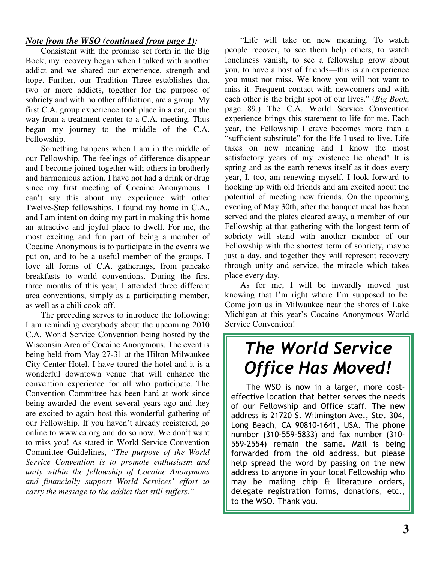#### *Note from the WSO (continued from page 1):*

Consistent with the promise set forth in the Big Book, my recovery began when I talked with another addict and we shared our experience, strength and hope. Further, our Tradition Three establishes that two or more addicts, together for the purpose of sobriety and with no other affiliation, are a group. My first C.A. group experience took place in a car, on the way from a treatment center to a C.A. meeting. Thus began my journey to the middle of the C.A. Fellowship.

Something happens when I am in the middle of our Fellowship. The feelings of difference disappear and I become joined together with others in brotherly and harmonious action. I have not had a drink or drug since my first meeting of Cocaine Anonymous. I can't say this about my experience with other Twelve-Step fellowships. I found my home in C.A., and I am intent on doing my part in making this home an attractive and joyful place to dwell. For me, the most exciting and fun part of being a member of Cocaine Anonymous is to participate in the events we put on, and to be a useful member of the groups. I love all forms of C.A. gatherings, from pancake breakfasts to world conventions. During the first three months of this year, I attended three different area conventions, simply as a participating member, as well as a chili cook-off.

The preceding serves to introduce the following: I am reminding everybody about the upcoming 2010 C.A. World Service Convention being hosted by the Wisconsin Area of Cocaine Anonymous. The event is being held from May 27-31 at the Hilton Milwaukee City Center Hotel. I have toured the hotel and it is a wonderful downtown venue that will enhance the convention experience for all who participate. The Convention Committee has been hard at work since being awarded the event several years ago and they are excited to again host this wonderful gathering of our Fellowship. If you haven't already registered, go online to www.ca.org and do so now. We don't want to miss you! As stated in World Service Convention Committee Guidelines, *"The purpose of the World Service Convention is to promote enthusiasm and unity within the fellowship of Cocaine Anonymous and financially support World Services' effort to carry the message to the addict that still suffers."*

"Life will take on new meaning. To watch people recover, to see them help others, to watch loneliness vanish, to see a fellowship grow about you, to have a host of friends—this is an experience you must not miss. We know you will not want to miss it. Frequent contact with newcomers and with each other is the bright spot of our lives." (*Big Book*, page 89.) The C.A. World Service Convention experience brings this statement to life for me. Each year, the Fellowship I crave becomes more than a "sufficient substitute" for the life I used to live. Life takes on new meaning and I know the most satisfactory years of my existence lie ahead! It is spring and as the earth renews itself as it does every year, I, too, am renewing myself. I look forward to hooking up with old friends and am excited about the potential of meeting new friends. On the upcoming evening of May 30th, after the banquet meal has been served and the plates cleared away, a member of our Fellowship at that gathering with the longest term of sobriety will stand with another member of our Fellowship with the shortest term of sobriety, maybe just a day, and together they will represent recovery through unity and service, the miracle which takes place every day.

As for me, I will be inwardly moved just knowing that I'm right where I'm supposed to be. Come join us in Milwaukee near the shores of Lake Michigan at this year's Cocaine Anonymous World Service Convention!

## **The World Service Office Has Moved!**

The WSO is now in a larger, more costeffective location that better serves the needs of our Fellowship and Office staff. The new address is 21720 S. Wilmington Ave., Ste. 304, Long Beach, CA 90810-1641, USA. The phone number (310-559-5833) and fax number (310-559-2554) remain the same. Mail is being forwarded from the old address, but please help spread the word by passing on the new address to anyone in your local Fellowship who may be mailing chip  $f$  literature orders, delegate registration forms, donations, etc., to the WSO. Thank you.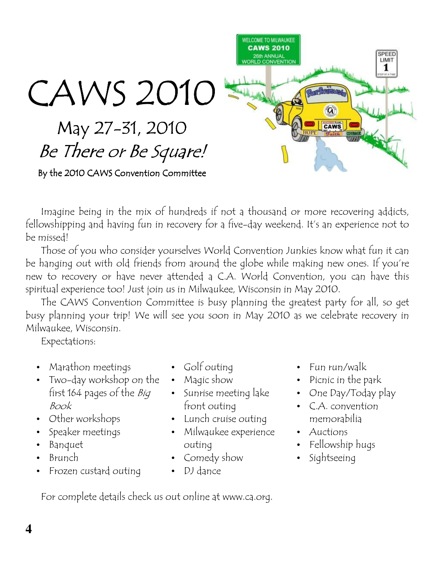

Imagine being in the mix of hundreds if not a thousand or more recovering addicts, fellowshipping and having fun in recovery for a five-day weekend. It's an experience not to be missed!

Those of you who consider yourselves World Convention Junkies know what fun it can be hanging out with old friends from around the globe while making new ones. If you're new to recovery or have never attended a C.A. World Convention, you can have this spiritual experience too! Just join us in Milwaukee, Wisconsin in May 2010.

The CAWS Convention Committee is busy planning the greatest party for all, so get busy planning your trip! We will see you soon in May 2010 as we celebrate recovery in Milwaukee, Wisconsin.

Expectations:

- Marathon meetings
- Two-day workshop on the first 164 pages of the *Big* Book
- Other workshops
- Speaker meetings
- Banquet
- Brunch
- Frozen custard outing
- Golf outing
- Magic show
- Sunrise meeting lake front outing
- Lunch cruise outing
- · Milwaukee experience outing
- Comedy show
- DJ dance
- Fun run/walk
- Picnic in the park
- One Day/Today play
- C.A. convention memorabilia
- Auctions
- Fellowship hugs
- · Sightseeing

For complete details check us out online at www.ca.org.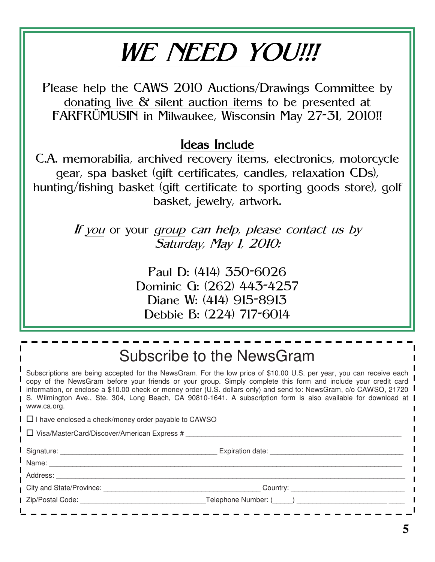# WE NEED YOU!!!

Please help the CAWS 2010 Auctions/Drawings Committee by donating live  $\&$  silent auction items to be presented at FARFRÜMUSIN in Milwaukee, Wisconsin May 27-31, 2010!!

### Ideas Include

C.A. memorabilia, archived recovery items, electronics, motorcycle gear, spa basket (gift certificates, candles, relaxation CDs), hunting/fishing basket (gift certificate to sporting goods store), golf basket, jewelry, artwork.

> If you or your group can help, please contact us by Saturday, May 1, 2010:

> > Paul D: (414) 350-6026 Dominic G: (262) 443-4257 Diane W: (414) 915-8913 Debbie B: (224) 717-6014

|                                                                                                                                                                                                                                                                                                                                                                                                                                                                                              | Subscribe to the NewsGram                    |  |  |  |
|----------------------------------------------------------------------------------------------------------------------------------------------------------------------------------------------------------------------------------------------------------------------------------------------------------------------------------------------------------------------------------------------------------------------------------------------------------------------------------------------|----------------------------------------------|--|--|--|
| Subscriptions are being accepted for the NewsGram. For the low price of \$10.00 U.S. per year, you can receive each<br>copy of the NewsGram before your friends or your group. Simply complete this form and include your credit card<br>information, or enclose a \$10.00 check or money order (U.S. dollars only) and send to: NewsGram, c/o CAWSO, 21720<br>S. Wilmington Ave., Ste. 304, Long Beach, CA 90810-1641. A subscription form is also available for download at<br>www.ca.org. |                                              |  |  |  |
| $\Box$ I have enclosed a check/money order payable to CAWSO                                                                                                                                                                                                                                                                                                                                                                                                                                  |                                              |  |  |  |
| $\Box$ Visa/MasterCard/Discover/American Express #                                                                                                                                                                                                                                                                                                                                                                                                                                           |                                              |  |  |  |
|                                                                                                                                                                                                                                                                                                                                                                                                                                                                                              | Signature: Expiration date: Expiration date: |  |  |  |
|                                                                                                                                                                                                                                                                                                                                                                                                                                                                                              |                                              |  |  |  |
|                                                                                                                                                                                                                                                                                                                                                                                                                                                                                              |                                              |  |  |  |
| City and State/Province: The State of the State of the State of the State of the State of the State of the State of the State of the State of the State of the State of the State of the State of the State of the State of th                                                                                                                                                                                                                                                               | Country: _______________________________     |  |  |  |
| Zip/Postal Code: The Contract of the Contract of the Contract of the Contract of the Contract of the Contract o                                                                                                                                                                                                                                                                                                                                                                              | Telephone Number: ( )                        |  |  |  |
|                                                                                                                                                                                                                                                                                                                                                                                                                                                                                              |                                              |  |  |  |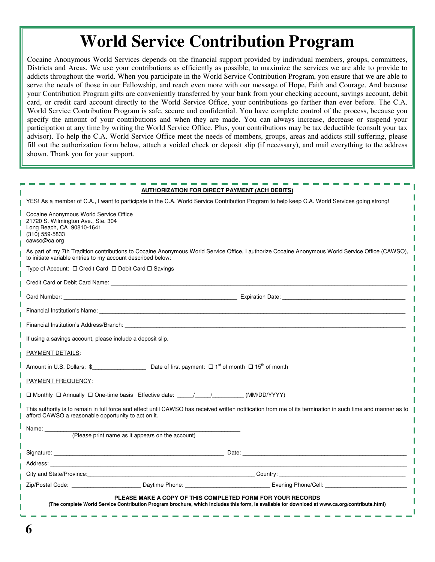## **World Service Contribution Program**

Cocaine Anonymous World Services depends on the financial support provided by individual members, groups, committees, Districts and Areas. We use your contributions as efficiently as possible, to maximize the services we are able to provide to addicts throughout the world. When you participate in the World Service Contribution Program, you ensure that we are able to serve the needs of those in our Fellowship, and reach even more with our message of Hope, Faith and Courage. And because your Contribution Program gifts are conveniently transferred by your bank from your checking account, savings account, debit card, or credit card account directly to the World Service Office, your contributions go farther than ever before. The C.A. World Service Contribution Program is safe, secure and confidential. You have complete control of the process, because you specify the amount of your contributions and when they are made. You can always increase, decrease or suspend your participation at any time by writing the World Service Office. Plus, your contributions may be tax deductible (consult your tax advisor). To help the C.A. World Service Office meet the needs of members, groups, areas and addicts still suffering, please fill out the authorization form below, attach a voided check or deposit slip (if necessary), and mail everything to the address shown. Thank you for your support.

|                                                                                                                                                                                                                                |                                                  | <u>AUTHORIZATION FOR DIRECT PAYMENT (ACH DEBITS)</u>                                                                                                        |  |
|--------------------------------------------------------------------------------------------------------------------------------------------------------------------------------------------------------------------------------|--------------------------------------------------|-------------------------------------------------------------------------------------------------------------------------------------------------------------|--|
|                                                                                                                                                                                                                                |                                                  | YES! As a member of C.A., I want to participate in the C.A. World Service Contribution Program to help keep C.A. World Services going strong!               |  |
| Cocaine Anonymous World Service Office<br>21720 S. Wilmington Ave., Ste. 304<br>Long Beach, CA 90810-1641<br>(310) 559-5833<br>cawso@ca.org                                                                                    |                                                  |                                                                                                                                                             |  |
| to initiate variable entries to my account described below:                                                                                                                                                                    |                                                  | As part of my 7th Tradition contributions to Cocaine Anonymous World Service Office, I authorize Cocaine Anonymous World Service Office (CAWSO),            |  |
| Type of Account: □ Credit Card □ Debit Card □ Savings                                                                                                                                                                          |                                                  |                                                                                                                                                             |  |
| Credit Card or Debit Card Name: Name and All Credit Card or Name of The Credit Card or Debit Card Name:                                                                                                                        |                                                  |                                                                                                                                                             |  |
|                                                                                                                                                                                                                                |                                                  |                                                                                                                                                             |  |
| Financial Institution's Name: experience of the contract of the contract of the contract of the contract of the contract of the contract of the contract of the contract of the contract of the contract of the contract of th |                                                  |                                                                                                                                                             |  |
| Financial Institution's Address/Branch: The Contract of the Contract of the Contract of the Contract of the Contract of the Contract of the Contract of the Contract of the Contract of the Contract of the Contract of the Co |                                                  |                                                                                                                                                             |  |
| If using a savings account, please include a deposit slip.                                                                                                                                                                     |                                                  |                                                                                                                                                             |  |
| <b>PAYMENT DETAILS:</b>                                                                                                                                                                                                        |                                                  |                                                                                                                                                             |  |
|                                                                                                                                                                                                                                |                                                  |                                                                                                                                                             |  |
| PAYMENT FREQUENCY:                                                                                                                                                                                                             |                                                  |                                                                                                                                                             |  |
| □ Monthly □ Annually □ One-time basis Effective date: ____/____/___________(MM/DD/YYYY)                                                                                                                                        |                                                  |                                                                                                                                                             |  |
| afford CAWSO a reasonable opportunity to act on it.                                                                                                                                                                            |                                                  | This authority is to remain in full force and effect until CAWSO has received written notification from me of its termination in such time and manner as to |  |
| Name: ________                                                                                                                                                                                                                 |                                                  |                                                                                                                                                             |  |
|                                                                                                                                                                                                                                | (Please print name as it appears on the account) |                                                                                                                                                             |  |
|                                                                                                                                                                                                                                |                                                  |                                                                                                                                                             |  |
|                                                                                                                                                                                                                                |                                                  |                                                                                                                                                             |  |
|                                                                                                                                                                                                                                |                                                  |                                                                                                                                                             |  |
|                                                                                                                                                                                                                                |                                                  |                                                                                                                                                             |  |
| PLEASE MAKE A COPY OF THIS COMPLETED FORM FOR YOUR RECORDS<br>(The complete World Service Contribution Program brochure, which includes this form, is available for download at www.ca.org/contribute.html)                    |                                                  |                                                                                                                                                             |  |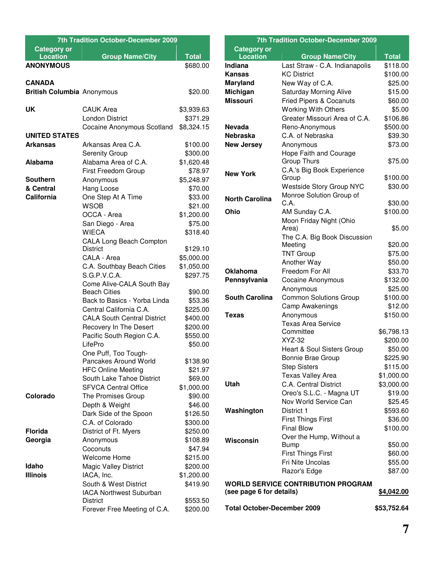| 7th Tradition October-December 2009   |                                    |                          |  |  |
|---------------------------------------|------------------------------------|--------------------------|--|--|
| <b>Category or</b><br><b>Location</b> |                                    |                          |  |  |
| <b>ANONYMOUS</b>                      | <b>Group Name/City</b>             | <b>Total</b><br>\$680.00 |  |  |
|                                       |                                    |                          |  |  |
| <b>CANADA</b>                         |                                    |                          |  |  |
| <b>British Columbia Anonymous</b>     |                                    | \$20.00                  |  |  |
|                                       |                                    |                          |  |  |
| <b>UK</b>                             | <b>CAUK Area</b>                   | \$3,939.63               |  |  |
|                                       | <b>London District</b>             | \$371.29                 |  |  |
|                                       | Cocaine Anonymous Scotland         | \$8,324.15               |  |  |
| <b>UNITED STATES</b>                  |                                    |                          |  |  |
| Arkansas                              | Arkansas Area C.A.                 | \$100.00                 |  |  |
|                                       | <b>Serenity Group</b>              | \$300.00                 |  |  |
| <b>Alabama</b>                        | Alabama Area of C.A.               | \$1,620.48               |  |  |
|                                       | First Freedom Group                | \$78.97                  |  |  |
| <b>Southern</b>                       | Anonymous                          | \$5,248.97               |  |  |
| & Central                             | Hang Loose                         | \$70.00                  |  |  |
| <b>California</b>                     | One Step At A Time                 | \$33.00                  |  |  |
|                                       | <b>WSOB</b>                        | \$21.00                  |  |  |
|                                       | OCCA - Area                        | \$1,200.00               |  |  |
|                                       | San Diego - Area                   | \$75.00                  |  |  |
|                                       | <b>WIECA</b>                       | \$318.40                 |  |  |
|                                       | <b>CALA Long Beach Compton</b>     |                          |  |  |
|                                       | <b>District</b>                    | \$129.10                 |  |  |
|                                       | CALA - Area                        | \$5,000.00               |  |  |
|                                       | C.A. Southbay Beach Cities         | \$1,050.00               |  |  |
|                                       | S.G.P.V.C.A.                       | \$297.75                 |  |  |
|                                       | Come Alive-CALA South Bay          |                          |  |  |
|                                       | <b>Beach Cities</b>                | \$90.00                  |  |  |
|                                       | Back to Basics - Yorba Linda       | \$53.36                  |  |  |
|                                       | Central California C.A.            | \$225.00                 |  |  |
|                                       | <b>CALA South Central District</b> | \$400.00                 |  |  |
|                                       | Recovery In The Desert             | \$200.00                 |  |  |
|                                       | Pacific South Region C.A.          | \$550.00                 |  |  |
|                                       | LifePro                            | \$50.00                  |  |  |
|                                       | One Puff, Too Tough-               |                          |  |  |
|                                       | Pancakes Around World              | \$138.90                 |  |  |
|                                       | <b>HFC Online Meeting</b>          | \$21.97                  |  |  |
|                                       | South Lake Tahoe District          | \$69.00                  |  |  |
|                                       | <b>SFVCA Central Office</b>        | \$1,000.00               |  |  |
| Colorado                              | The Promises Group                 | \$90.00                  |  |  |
|                                       | Depth & Weight                     | \$46.00                  |  |  |
|                                       | Dark Side of the Spoon             | \$126.50                 |  |  |
|                                       | C.A. of Colorado                   | \$300.00                 |  |  |
| Florida                               | District of Ft. Myers              | \$250.00                 |  |  |
| Georgia                               | Anonymous                          | \$108.89                 |  |  |
|                                       | Coconuts                           | \$47.94                  |  |  |
|                                       | Welcome Home                       | \$215.00                 |  |  |
| Idaho                                 | <b>Magic Valley District</b>       | \$200.00                 |  |  |
| <b>Illinois</b>                       | IACA, Inc.                         | \$1,200.00               |  |  |
|                                       | South & West District              | \$419.90                 |  |  |
|                                       | <b>IACA Northwest Suburban</b>     |                          |  |  |
|                                       | <b>District</b>                    | \$553.50                 |  |  |
|                                       | Forever Free Meeting of C.A.       | \$200.00                 |  |  |
|                                       |                                    |                          |  |  |

| <b>7th Tradition October-December 2009</b> |                                       |                    |  |  |
|--------------------------------------------|---------------------------------------|--------------------|--|--|
| <b>Category or</b>                         |                                       |                    |  |  |
| <b>Location</b>                            | <b>Group Name/City</b>                | <b>Total</b>       |  |  |
| Indiana                                    | Last Straw - C.A. Indianapolis        | \$118.00           |  |  |
| Kansas                                     | <b>KC District</b>                    | \$100.00           |  |  |
| <b>Maryland</b>                            | New Way of C.A.                       | \$25.00            |  |  |
| Michigan                                   | <b>Saturday Morning Alive</b>         | \$15.00            |  |  |
| <b>Missouri</b>                            | <b>Fried Pipers &amp; Cocanuts</b>    | \$60.00            |  |  |
|                                            | <b>Working With Others</b>            | \$5.00             |  |  |
|                                            | Greater Missouri Area of C.A.         | \$106.86           |  |  |
| <b>Nevada</b>                              | Reno-Anonymous<br>C.A. of Nebraska    | \$500.00           |  |  |
| <b>Nebraska</b>                            |                                       | \$39.30            |  |  |
| <b>New Jersey</b>                          | Anonymous                             | \$73.00            |  |  |
|                                            | Hope Faith and Courage<br>Group Thurs | \$75.00            |  |  |
|                                            | C.A.'s Big Book Experience            |                    |  |  |
| <b>New York</b>                            | Group                                 | \$100.00           |  |  |
|                                            | <b>Westside Story Group NYC</b>       | \$30.00            |  |  |
| <b>North Carolina</b>                      | Monroe Solution Group of              |                    |  |  |
|                                            | C.A.                                  | \$30.00            |  |  |
| Ohio                                       | AM Sunday C.A.                        | \$100.00           |  |  |
|                                            | Moon Friday Night (Ohio               |                    |  |  |
|                                            | Area)                                 | \$5.00             |  |  |
|                                            | The C.A. Big Book Discussion          |                    |  |  |
|                                            | Meeting                               | \$20.00            |  |  |
|                                            | <b>TNT Group</b><br>Another Way       | \$75.00<br>\$50.00 |  |  |
| <b>Oklahoma</b>                            | Freedom For All                       | \$33.70            |  |  |
| Pennsylvania                               | <b>Cocaine Anonymous</b>              | \$132.00           |  |  |
|                                            | Anonymous                             | \$25.00            |  |  |
| <b>South Carolina</b>                      | <b>Common Solutions Group</b>         | \$100.00           |  |  |
|                                            | Camp Awakenings                       | \$12.00            |  |  |
| Texas                                      | Anonymous                             | \$150.00           |  |  |
|                                            | <b>Texas Area Service</b>             |                    |  |  |
|                                            | Committee                             | \$6,798.13         |  |  |
|                                            | XYZ-32                                | \$200.00           |  |  |
|                                            | Heart & Soul Sisters Group            | \$50.00            |  |  |
|                                            | Bonnie Brae Group                     | \$225.90           |  |  |
|                                            | <b>Step Sisters</b>                   | \$115.00           |  |  |
|                                            | <b>Texas Valley Area</b>              | \$1,000.00         |  |  |
| Utah                                       | C.A. Central District                 | \$3,000.00         |  |  |
|                                            | Oreo's S.L.C. - Magna UT              | \$19.00            |  |  |
|                                            | Nov World Service Can                 | \$25.45            |  |  |
| Washington                                 | District 1                            | \$593.60           |  |  |
|                                            | <b>First Things First</b>             | \$36.00            |  |  |
|                                            | <b>Final Blow</b>                     | \$100.00           |  |  |
| Wisconsin                                  | Over the Hump, Without a              |                    |  |  |
|                                            | Bump                                  | \$50.00            |  |  |
|                                            | <b>First Things First</b>             | \$60.00            |  |  |
|                                            | Fri Nite Uncolas                      | \$55.00            |  |  |
|                                            | Razor's Edge                          | \$87.00            |  |  |
| <b>WORLD SERVICE CONTRIBUTION PROGRAM</b>  |                                       |                    |  |  |
| (see page 6 for details)<br>\$4,042.00     |                                       |                    |  |  |
| <b>Total October-December 2009</b>         |                                       | \$53,752.64        |  |  |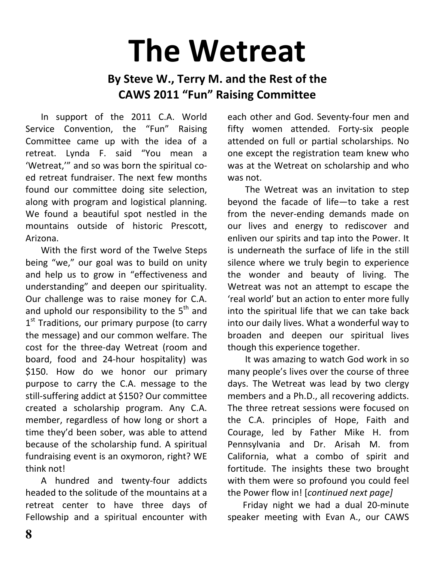# **The Wetreat**

## By Steve W., Terry M. and the Rest of the **CAWS 2011 "Fun" Raising Committee**

In support of the 2011 C.A. World Service Convention, the "Fun" Raising Committee came up with the idea of a retreat. Lynda F. said "You mean a 'Wetreat," and so was born the spiritual coed retreat fundraiser. The next few months found our committee doing site selection, along with program and logistical planning. We found a beautiful spot nestled in the mountains outside of historic Prescott, Arizona.

With the first word of the Twelve Steps being "we," our goal was to build on unity and help us to grow in "effectiveness and understanding" and deepen our spirituality. Our challenge was to raise money for C.A. and uphold our responsibility to the 5<sup>th</sup> and 1<sup>st</sup> Traditions, our primary purpose (to carry the message) and our common welfare. The cost for the three-day Wetreat (room and board, food and 24-hour hospitality) was \$150. How do we honor our primary purpose to carry the C.A. message to the still-suffering addict at \$150? Our committee created a scholarship program. Any C.A. member, regardless of how long or short a time they'd been sober, was able to attend because of the scholarship fund. A spiritual fundraising event is an oxymoron, right? WE think not!

A hundred and twenty-four addicts headed to the solitude of the mountains at a retreat center to have three days of Fellowship and a spiritual encounter with

each other and God. Seventy-four men and fifty women attended. Forty-six people attended on full or partial scholarships. No one except the registration team knew who was at the Wetreat on scholarship and who was not.

The Wetreat was an invitation to step beyond the facade of life-to take a rest from the never-ending demands made on our lives and energy to rediscover and enliven our spirits and tap into the Power. It is underneath the surface of life in the still silence where we truly begin to experience the wonder and beauty of living. The Wetreat was not an attempt to escape the 'real world' but an action to enter more fully into the spiritual life that we can take back into our daily lives. What a wonderful way to broaden and deepen our spiritual lives though this experience together.

It was amazing to watch God work in so many people's lives over the course of three days. The Wetreat was lead by two clergy members and a Ph.D., all recovering addicts. The three retreat sessions were focused on the C.A. principles of Hope, Faith and Courage, led by Father Mike H. from Pennsylvania and Dr. Arisah M. from California, what a combo of spirit and fortitude. The insights these two brought with them were so profound you could feel the Power flow in! [continued next page]

Friday night we had a dual 20-minute speaker meeting with Evan A., our CAWS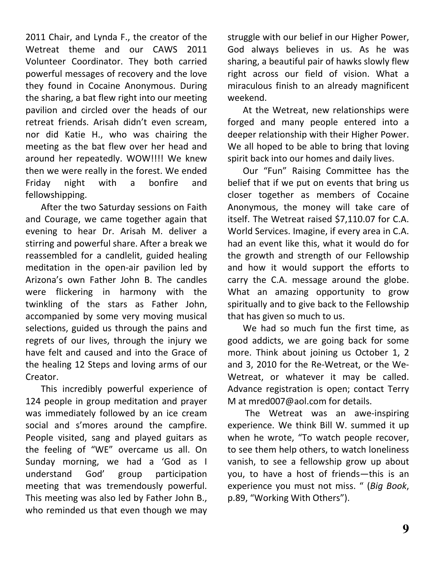2011 Chair, and Lynda F., the creator of the Wetreat theme and our CAWS 2011 Volunteer Coordinator. They both carried powerful messages of recovery and the love they found in Cocaine Anonymous. During the sharing, a bat flew right into our meeting pavilion and circled over the heads of our retreat friends. Arisah didn't even scream, nor did Katie H., who was chairing the meeting as the bat flew over her head and around her repeatedly. WOW!!!! We knew then we were really in the forest. We ended honfire Friday night with and  $\overline{a}$ fellowshipping.

After the two Saturday sessions on Faith and Courage, we came together again that evening to hear Dr. Arisah M. deliver a stirring and powerful share. After a break we reassembled for a candlelit, guided healing meditation in the open-air pavilion led by Arizona's own Father John B. The candles were flickering in harmony with the twinkling of the stars as Father John, accompanied by some very moving musical selections, guided us through the pains and regrets of our lives, through the injury we have felt and caused and into the Grace of the healing 12 Steps and loving arms of our Creator.

This incredibly powerful experience of 124 people in group meditation and prayer was immediately followed by an ice cream social and s'mores around the campfire. People visited, sang and played guitars as the feeling of "WE" overcame us all. On Sunday morning, we had a 'God as I understand God' participation group meeting that was tremendously powerful. This meeting was also led by Father John B., who reminded us that even though we may

struggle with our belief in our Higher Power, God always believes in us. As he was sharing, a beautiful pair of hawks slowly flew right across our field of vision. What a miraculous finish to an already magnificent weekend.

At the Wetreat, new relationships were forged and many people entered into a deeper relationship with their Higher Power. We all hoped to be able to bring that loving spirit back into our homes and daily lives.

Our "Fun" Raising Committee has the belief that if we put on events that bring us closer together as members of Cocaine Anonymous, the money will take care of itself. The Wetreat raised \$7,110.07 for C.A. World Services. Imagine, if every area in C.A. had an event like this, what it would do for the growth and strength of our Fellowship and how it would support the efforts to carry the C.A. message around the globe. What an amazing opportunity to grow spiritually and to give back to the Fellowship that has given so much to us.

We had so much fun the first time, as good addicts, we are going back for some more. Think about joining us October 1, 2 and 3, 2010 for the Re-Wetreat, or the We-Wetreat, or whatever it may be called. Advance registration is open; contact Terry M at mred007@aol.com for details.

The Wetreat was an awe-inspiring experience. We think Bill W. summed it up when he wrote, "To watch people recover, to see them help others, to watch loneliness vanish, to see a fellowship grow up about you, to have a host of friends-this is an experience you must not miss. " (Big Book, p.89, "Working With Others").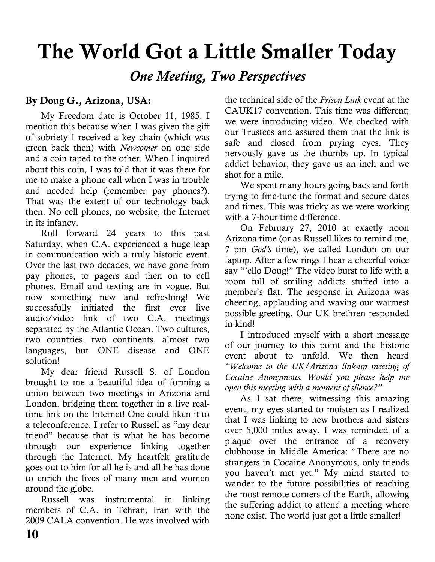## The World Got a Little Smaller Today

**One Meeting, Two Perspectives** 

#### By Doug G., Arizona, USA:

My Freedom date is October 11, 1985. I mention this because when I was given the gift of sobriety I received a key chain (which was green back then) with Newcomer on one side and a coin taped to the other. When I inquired about this coin. I was told that it was there for me to make a phone call when I was in trouble and needed help (remember pay phones?). That was the extent of our technology back then. No cell phones, no website, the Internet in its infancy.

Roll forward 24 years to this past Saturday, when C.A. experienced a huge leap in communication with a truly historic event. Over the last two decades, we have gone from pay phones, to pagers and then on to cell phones. Email and texting are in vogue. But now something new and refreshing! We successfully initiated the first ever live audio/video link of two C.A. meetings separated by the Atlantic Ocean. Two cultures, two countries, two continents, almost two languages, but ONE disease and ONE solution!

My dear friend Russell S. of London brought to me a beautiful idea of forming a union between two meetings in Arizona and London, bridging them together in a live realtime link on the Internet! One could liken it to a teleconference. I refer to Russell as "my dear friend" because that is what he has become through our experience linking together through the Internet. My heartfelt gratitude goes out to him for all he is and all he has done to enrich the lives of many men and women around the globe.

Russell was instrumental in linking members of C.A. in Tehran, Iran with the 2009 CALA convention. He was involved with

the technical side of the Prison Link event at the CAUK17 convention. This time was different: we were introducing video. We checked with our Trustees and assured them that the link is safe and closed from prying eyes. They nervously gave us the thumbs up. In typical addict behavior, they gave us an inch and we shot for a mile.

We spent many hours going back and forth trying to fine-tune the format and secure dates and times. This was tricky as we were working with a 7-hour time difference.

On February 27, 2010 at exactly noon Arizona time (or as Russell likes to remind me. 7 pm God's time), we called London on our laptop. After a few rings I hear a cheerful voice say "ello Doug!" The video burst to life with a room full of smiling addicts stuffed into a member's flat. The response in Arizona was cheering, applauding and waving our warmest possible greeting. Our UK brethren responded in kind!

I introduced myself with a short message of our journey to this point and the historic event about to unfold. We then heard "Welcome to the UK/Arizona link-up meeting of Cocaine Anonymous. Would you please help me open this meeting with a moment of silence?"

As I sat there, witnessing this amazing event, my eves started to moisten as I realized that I was linking to new brothers and sisters over 5,000 miles away. I was reminded of a plaque over the entrance of a recovery clubhouse in Middle America: "There are no strangers in Cocaine Anonymous, only friends you haven't met yet." My mind started to wander to the future possibilities of reaching the most remote corners of the Earth, allowing the suffering addict to attend a meeting where none exist. The world just got a little smaller!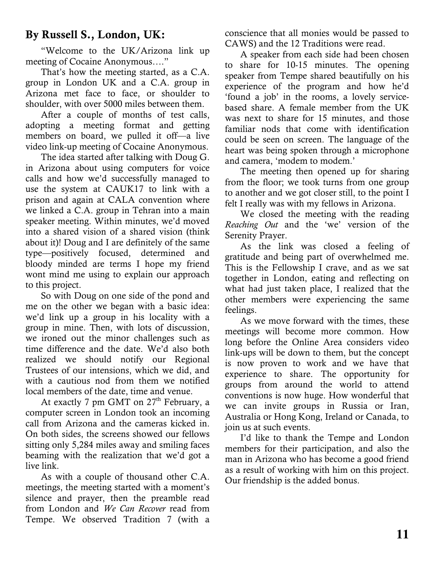### By Russell S., London, UK:

"Welcome to the UK/Arizona link up meeting of Cocaine Anonymous...."

That's how the meeting started, as a C.A. group in London UK and a C.A. group in Arizona met face to face, or shoulder to shoulder, with over 5000 miles between them.

After a couple of months of test calls, adopting a meeting format and getting members on board, we pulled it off—a live video link-up meeting of Cocaine Anonymous.

The idea started after talking with Doug G. in Arizona about using computers for voice calls and how we'd successfully managed to use the system at CAUK17 to link with a prison and again at CALA convention where we linked a C.A. group in Tehran into a main speaker meeting. Within minutes, we'd moved into a shared vision of a shared vision (think about it)! Doug and I are definitely of the same type-positively focused, determined and bloody minded are terms I hope my friend wont mind me using to explain our approach to this project.

So with Doug on one side of the pond and me on the other we began with a basic idea: we'd link up a group in his locality with a group in mine. Then, with lots of discussion, we ironed out the minor challenges such as time difference and the date. We'd also both realized we should notify our Regional Trustees of our intensions, which we did, and with a cautious nod from them we notified local members of the date, time and venue.

At exactly 7 pm GMT on 27<sup>th</sup> February, a computer screen in London took an incoming call from Arizona and the cameras kicked in. On both sides, the screens showed our fellows sitting only 5,284 miles away and smiling faces beaming with the realization that we'd got a live link

As with a couple of thousand other C.A. meetings, the meeting started with a moment's silence and prayer, then the preamble read from London and We Can Recover read from Tempe. We observed Tradition 7 (with a conscience that all monies would be passed to CAWS) and the 12 Traditions were read.

A speaker from each side had been chosen to share for 10-15 minutes. The opening speaker from Tempe shared beautifully on his experience of the program and how he'd 'found a job' in the rooms, a lovely servicebased share. A female member from the UK was next to share for 15 minutes, and those familiar nods that come with identification could be seen on screen. The language of the heart was being spoken through a microphone and camera, 'modem to modem.'

The meeting then opened up for sharing from the floor; we took turns from one group to another and we got closer still, to the point I felt I really was with my fellows in Arizona.

We closed the meeting with the reading Reaching Out and the 'we' version of the Serenity Prayer.

As the link was closed a feeling of gratitude and being part of overwhelmed me. This is the Fellowship I crave, and as we sat together in London, eating and reflecting on what had just taken place, I realized that the other members were experiencing the same feelings.

As we move forward with the times, these meetings will become more common. How long before the Online Area considers video link-ups will be down to them, but the concept is now proven to work and we have that experience to share. The opportunity for groups from around the world to attend conventions is now huge. How wonderful that we can invite groups in Russia or Iran, Australia or Hong Kong, Ireland or Canada, to join us at such events.

I'd like to thank the Tempe and London members for their participation, and also the man in Arizona who has become a good friend as a result of working with him on this project. Our friendship is the added bonus.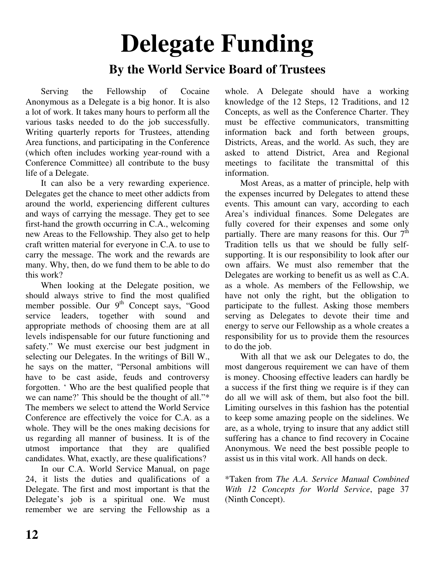## **Delegate Funding By the World Service Board of Trustees**

Serving the Fellowship of Cocaine Anonymous as a Delegate is a big honor. It is also a lot of work. It takes many hours to perform all the various tasks needed to do the job successfully. Writing quarterly reports for Trustees, attending Area functions, and participating in the Conference (which often includes working year-round with a Conference Committee) all contribute to the busy life of a Delegate.

It can also be a very rewarding experience. Delegates get the chance to meet other addicts from around the world, experiencing different cultures and ways of carrying the message. They get to see first-hand the growth occurring in C.A., welcoming new Areas to the Fellowship. They also get to help craft written material for everyone in C.A. to use to carry the message. The work and the rewards are many. Why, then, do we fund them to be able to do this work?

When looking at the Delegate position, we should always strive to find the most qualified member possible. Our 9<sup>th</sup> Concept says, "Good service leaders, together with sound and appropriate methods of choosing them are at all levels indispensable for our future functioning and safety." We must exercise our best judgment in selecting our Delegates. In the writings of Bill W., he says on the matter, "Personal ambitions will have to be cast aside, feuds and controversy forgotten. ' Who are the best qualified people that we can name?' This should be the thought of all."\* The members we select to attend the World Service Conference are effectively the voice for C.A. as a whole. They will be the ones making decisions for us regarding all manner of business. It is of the utmost importance that they are qualified candidates. What, exactly, are these qualifications?

In our C.A. World Service Manual, on page 24, it lists the duties and qualifications of a Delegate. The first and most important is that the Delegate's job is a spiritual one. We must remember we are serving the Fellowship as a

whole. A Delegate should have a working knowledge of the 12 Steps, 12 Traditions, and 12 Concepts, as well as the Conference Charter. They must be effective communicators, transmitting information back and forth between groups, Districts, Areas, and the world. As such, they are asked to attend District, Area and Regional meetings to facilitate the transmittal of this information.

Most Areas, as a matter of principle, help with the expenses incurred by Delegates to attend these events. This amount can vary, according to each Area's individual finances. Some Delegates are fully covered for their expenses and some only partially. There are many reasons for this. Our  $7<sup>th</sup>$ Tradition tells us that we should be fully selfsupporting. It is our responsibility to look after our own affairs. We must also remember that the Delegates are working to benefit us as well as C.A. as a whole. As members of the Fellowship, we have not only the right, but the obligation to participate to the fullest. Asking those members serving as Delegates to devote their time and energy to serve our Fellowship as a whole creates a responsibility for us to provide them the resources to do the job.

With all that we ask our Delegates to do, the most dangerous requirement we can have of them is money. Choosing effective leaders can hardly be a success if the first thing we require is if they can do all we will ask of them, but also foot the bill. Limiting ourselves in this fashion has the potential to keep some amazing people on the sidelines. We are, as a whole, trying to insure that any addict still suffering has a chance to find recovery in Cocaine Anonymous. We need the best possible people to assist us in this vital work. All hands on deck.

\*Taken from *The A.A. Service Manual Combined With 12 Concepts for World Service*, page 37 (Ninth Concept).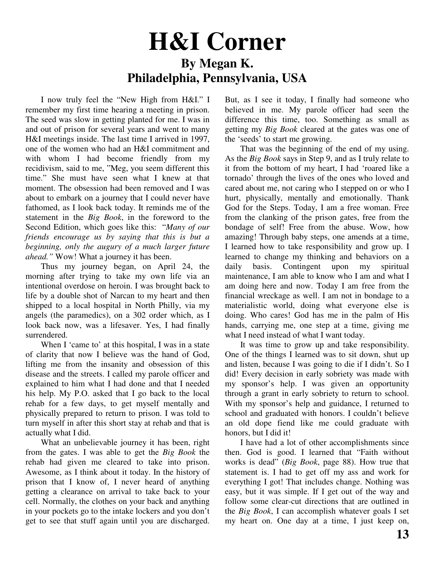## **H&I Corner By Megan K. Philadelphia, Pennsylvania, USA**

I now truly feel the "New High from H&I." I remember my first time hearing a meeting in prison. The seed was slow in getting planted for me. I was in and out of prison for several years and went to many H&I meetings inside. The last time I arrived in 1997, one of the women who had an H&I commitment and with whom I had become friendly from my recidivism, said to me, "Meg, you seem different this time." She must have seen what I knew at that moment. The obsession had been removed and I was about to embark on a journey that I could never have fathomed, as I look back today. It reminds me of the statement in the *Big Book*, in the foreword to the Second Edition, which goes like this: "*Many of our friends encourage us by saying that this is but a beginning, only the augury of a much larger future ahead."* Wow! What a journey it has been.

Thus my journey began, on April 24, the morning after trying to take my own life via an intentional overdose on heroin. I was brought back to life by a double shot of Narcan to my heart and then shipped to a local hospital in North Philly, via my angels (the paramedics), on a 302 order which, as I look back now, was a lifesaver. Yes, I had finally surrendered.

When I 'came to' at this hospital, I was in a state of clarity that now I believe was the hand of God, lifting me from the insanity and obsession of this disease and the streets. I called my parole officer and explained to him what I had done and that I needed his help. My P.O. asked that I go back to the local rehab for a few days, to get myself mentally and physically prepared to return to prison. I was told to turn myself in after this short stay at rehab and that is actually what I did.

What an unbelievable journey it has been, right from the gates. I was able to get the *Big Book* the rehab had given me cleared to take into prison. Awesome, as I think about it today. In the history of prison that I know of, I never heard of anything getting a clearance on arrival to take back to your cell. Normally, the clothes on your back and anything in your pockets go to the intake lockers and you don't get to see that stuff again until you are discharged.

But, as I see it today, I finally had someone who believed in me. My parole officer had seen the difference this time, too. Something as small as getting my *Big Book* cleared at the gates was one of the 'seeds' to start me growing.

That was the beginning of the end of my using. As the *Big Book* says in Step 9, and as I truly relate to it from the bottom of my heart, I had 'roared like a tornado' through the lives of the ones who loved and cared about me, not caring who I stepped on or who I hurt, physically, mentally and emotionally. Thank God for the Steps. Today, I am a free woman. Free from the clanking of the prison gates, free from the bondage of self! Free from the abuse. Wow, how amazing! Through baby steps, one amends at a time, I learned how to take responsibility and grow up. I learned to change my thinking and behaviors on a daily basis. Contingent upon my spiritual maintenance, I am able to know who I am and what I am doing here and now. Today I am free from the financial wreckage as well. I am not in bondage to a materialistic world, doing what everyone else is doing. Who cares! God has me in the palm of His hands, carrying me, one step at a time, giving me what I need instead of what I want today.

It was time to grow up and take responsibility. One of the things I learned was to sit down, shut up and listen, because I was going to die if I didn't. So I did! Every decision in early sobriety was made with my sponsor's help. I was given an opportunity through a grant in early sobriety to return to school. With my sponsor's help and guidance, I returned to school and graduated with honors. I couldn't believe an old dope fiend like me could graduate with honors, but I did it!

I have had a lot of other accomplishments since then. God is good. I learned that "Faith without works is dead" (*Big Book*, page 88). How true that statement is. I had to get off my ass and work for everything I got! That includes change. Nothing was easy, but it was simple. If I get out of the way and follow some clear-cut directions that are outlined in the *Big Book*, I can accomplish whatever goals I set my heart on. One day at a time, I just keep on,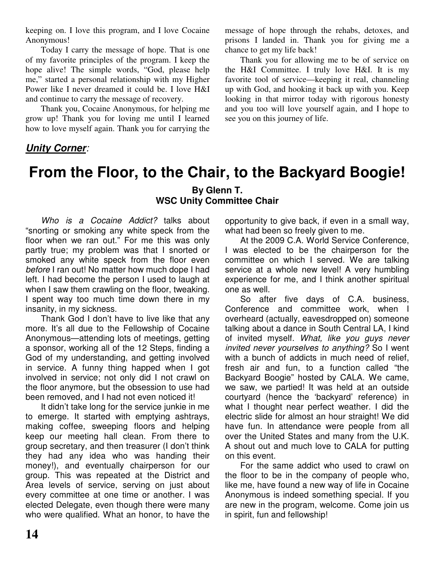keeping on. I love this program, and I love Cocaine Anonymous!

Today I carry the message of hope. That is one of my favorite principles of the program. I keep the hope alive! The simple words, "God, please help me," started a personal relationship with my Higher Power like I never dreamed it could be. I love H&I and continue to carry the message of recovery.

Thank you, Cocaine Anonymous, for helping me grow up! Thank you for loving me until I learned how to love myself again. Thank you for carrying the message of hope through the rehabs, detoxes, and prisons I landed in. Thank you for giving me a chance to get my life back!

Thank you for allowing me to be of service on the H&I Committee. I truly love H&I. It is my favorite tool of service—keeping it real, channeling up with God, and hooking it back up with you. Keep looking in that mirror today with rigorous honesty and you too will love yourself again, and I hope to see you on this journey of life.

#### *Unity Corner:*

## **From the Floor, to the Chair, to the Backyard Boogie! By Glenn T. WSC Unity Committee Chair**

*Who is a Cocaine Addict?* talks about "snorting or smoking any white speck from the floor when we ran out." For me this was only partly true; my problem was that I snorted or smoked any white speck from the floor even *before* I ran out! No matter how much dope I had left. I had become the person I used to laugh at when I saw them crawling on the floor, tweaking. I spent way too much time down there in my insanity, in my sickness.

Thank God I don't have to live like that any more. It's all due to the Fellowship of Cocaine Anonymous—attending lots of meetings, getting a sponsor, working all of the 12 Steps, finding a God of my understanding, and getting involved in service. A funny thing happed when I got involved in service; not only did I not crawl on the floor anymore, but the obsession to use had been removed, and I had not even noticed it!

It didn't take long for the service junkie in me to emerge. It started with emptying ashtrays, making coffee, sweeping floors and helping keep our meeting hall clean. From there to group secretary, and then treasurer (I don't think they had any idea who was handing their money!), and eventually chairperson for our group. This was repeated at the District and Area levels of service, serving on just about every committee at one time or another. I was elected Delegate, even though there were many who were qualified. What an honor, to have the opportunity to give back, if even in a small way, what had been so freely given to me.

At the 2009 C.A. World Service Conference, I was elected to be the chairperson for the committee on which I served. We are talking service at a whole new level! A very humbling experience for me, and I think another spiritual one as well.

So after five days of C.A. business, Conference and committee work, when I overheard (actually, eavesdropped on) someone talking about a dance in South Central LA, I kind of invited myself. *What, like you guys never invited never yourselves to anything?* So I went with a bunch of addicts in much need of relief. fresh air and fun, to a function called "the Backyard Boogie" hosted by CALA. We came, we saw, we partied! It was held at an outside courtyard (hence the 'backyard' reference) in what I thought near perfect weather. I did the electric slide for almost an hour straight! We did have fun. In attendance were people from all over the United States and many from the U.K. A shout out and much love to CALA for putting on this event.

For the same addict who used to crawl on the floor to be in the company of people who, like me, have found a new way of life in Cocaine Anonymous is indeed something special. If you are new in the program, welcome. Come join us in spirit, fun and fellowship!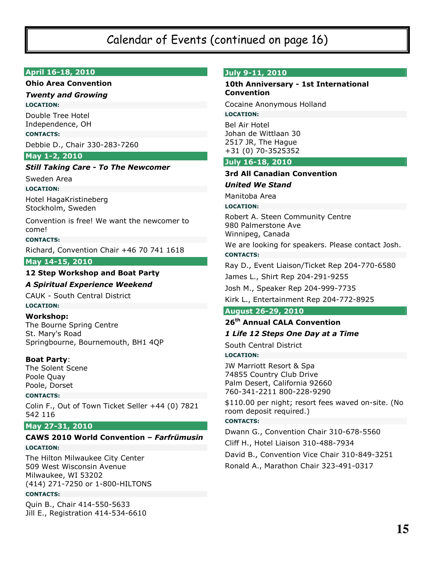### Calendar of Events (continued on page 16)

#### April 16-18, 2010

#### **Ohio Area Convention**

#### **Twenty and Growing**

**LOCATION:** 

Double Tree Hotel Independence, OH

#### **CONTACTS:**

Debbie D., Chair 330-283-7260

#### May 1-2, 2010

#### **Still Taking Care - To The Newcomer**

Sweden Area

#### **LOCATION:**

Hotel HagaKristineberg Stockholm, Sweden

Convention is free! We want the newcomer to comel

**CONTACTS:** 

Richard, Convention Chair +46 70 741 1618

May 14-15, 2010

#### 12 Step Workshop and Boat Party

#### **A Spiritual Experience Weekend**

**CAUK - South Central District** 

#### **LOCATION:**

**Workshop:** The Bourne Spring Centre St. Mary's Road Springbourne, Bournemouth, BH1 4QP

#### **Boat Party:**

The Solent Scene Poole Ouav Poole, Dorset

#### **CONTACTS:**

Colin F., Out of Town Ticket Seller +44 (0) 7821 542 116

#### May 27-31, 2010

#### CAWS 2010 World Convention - Farfrümusin **LOCATION:**

The Hilton Milwaukee City Center 509 West Wisconsin Avenue Milwaukee, WI 53202 (414) 271-7250 or 1-800-HILTONS

#### **CONTACTS:**

Quin B., Chair 414-550-5633 Jill E., Registration 414-534-6610

#### July 9-11, 2010

#### 10th Anniversary - 1st International **Convention**

Cocaine Anonymous Holland **LOCATION:** 

**Bel Air Hotel** Johan de Wittlaan 30 2517 JR, The Hague +31 (0) 70-3525352

#### July 16-18, 2010

#### **3rd All Canadian Convention**

**United We Stand** 

Manitoba Area

**LOCATION:** 

Robert A. Steen Community Centre 980 Palmerstone Ave Winnipeg, Canada

We are looking for speakers. Please contact Josh. **CONTACTS:** 

Ray D., Event Liaison/Ticket Rep 204-770-6580

James L., Shirt Rep 204-291-9255

Josh M., Speaker Rep 204-999-7735

Kirk L., Entertainment Rep 204-772-8925

#### **August 26-29, 2010**

## 26<sup>th</sup> Annual CALA Convention

1 Life 12 Steps One Day at a Time

South Central District

#### **LOCATION:**

**JW Marriott Resort & Spa** 74855 Country Club Drive Palm Desert, California 92660 760-341-2211 800-228-9290

\$110.00 per night; resort fees waved on-site. (No room deposit required.)

#### **CONTACTS:**

Dwann G., Convention Chair 310-678-5560 Cliff H., Hotel Liaison 310-488-7934 David B., Convention Vice Chair 310-849-3251 Ronald A., Marathon Chair 323-491-0317